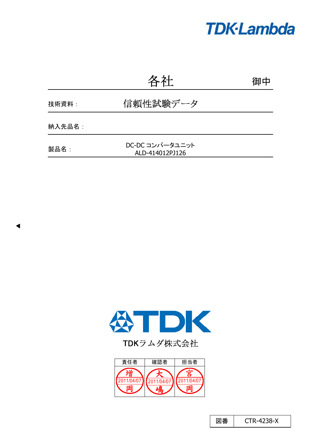# **TDK-Lambda**

|        | 各社                                 | 御中 |
|--------|------------------------------------|----|
| 技術資料:  | 信頼性試験データ                           |    |
| 納入先品名: |                                    |    |
| 製品名:   | DC-DC コンバータユニット<br>ALD-414012PJ126 |    |



 $\blacktriangleleft$ 

TDKラムダ株式会社



図番 | CTR-4238-X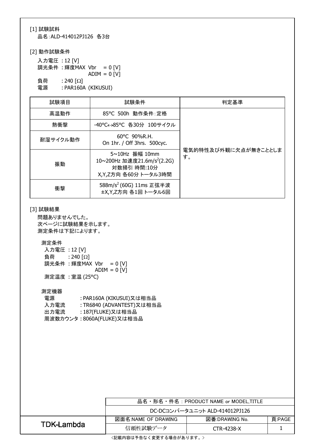### [1] 試験試料

品名:ALD-414012PJ126 各3台

### [2] 動作試験条件

入力電圧 : 12 [V] 調光条件 :輝度MAX Vbr =  $0$  [V]  $ADIM = 0$   $\overline{[V]}$ 負荷  $: 240 [\Omega]$ 電源 : PAR160A (KIKUSUI)

| 試験項目     | 試験条件                                                                                             | 判定基準                       |  |  |  |  |  |
|----------|--------------------------------------------------------------------------------------------------|----------------------------|--|--|--|--|--|
| 高温動作     | 85°C 500h 動作条件: 定格                                                                               |                            |  |  |  |  |  |
| 熱衝撃      | -40°C←→85°C 各30分 100サイクル                                                                         |                            |  |  |  |  |  |
| 耐湿サイクル動作 | $60^{\circ}$ C 90%R.H.<br>On 1hr. / Off 3hrs. 500cyc.                                            |                            |  |  |  |  |  |
| 振動       | 5~10Hz 振幅 10mm<br>10~200Hz 加速度21.6m/s <sup>2</sup> (2.2G)<br>対数掃引 時間:10分<br>X,Y,Z方向 各60分 トータル3時間 | 電気的特性及び外観に欠点が無きこととしま<br>す。 |  |  |  |  |  |
| 衝撃       | 588m/s <sup>2</sup> (60G) 11ms 正弦半波<br>±X,Y,Z方向 各1回 トータル6回                                       |                            |  |  |  |  |  |

#### [3] 試験結果

問題ありませんでした。 次ページに試験結果を示します。 測定条件は下記によります。

#### 測定条件

| 入力電圧: 12 [V] |                          |                |  |  |
|--------------|--------------------------|----------------|--|--|
|              | 負荷 : 240 [ $\Omega$ ]    |                |  |  |
|              | 調光条件 : 輝度MAX Vbr = 0 [V] |                |  |  |
|              |                          | $ADIM = 0$ [V] |  |  |
|              | 測定温度 : 室温 (25°C)         |                |  |  |

#### 測定機器

| 電源   | : PAR160A (KIKUSUI)又は相当品   |
|------|----------------------------|
| 入力電流 | : TR6840 (ADVANTEST)又は相当品  |
| 出力電流 | : 187(FLUKE)又は相当品          |
|      | 周波数カウンタ: 8060A(FLUKE)又は相当品 |

|            | 品名・形名・件名:PRODUCT NAME or MODEL,TITLE |                |        |  |  |  |  |  |  |
|------------|--------------------------------------|----------------|--------|--|--|--|--|--|--|
|            | DC-DCコンバータユニット ALD-414012PJ126       |                |        |  |  |  |  |  |  |
|            | 図面名:NAME OF DRAWING                  | 図番:DRAWING No. | 頁:PAGE |  |  |  |  |  |  |
| TDK-Lambda | 信頼性試験データ                             | CTR-4238-X     |        |  |  |  |  |  |  |

<記載内容は予告なく変更する場合があります。>